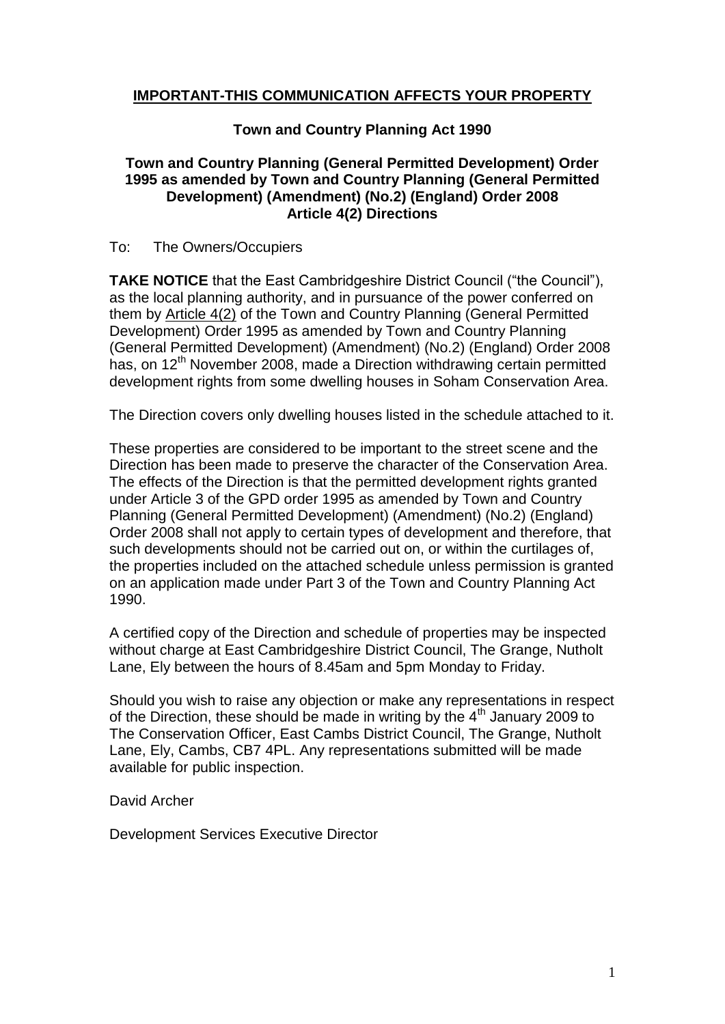# **IMPORTANT-THIS COMMUNICATION AFFECTS YOUR PROPERTY**

# **Town and Country Planning Act 1990**

# **Town and Country Planning (General Permitted Development) Order 1995 as amended by Town and Country Planning (General Permitted Development) (Amendment) (No.2) (England) Order 2008 Article 4(2) Directions**

### To: The Owners/Occupiers

**TAKE NOTICE** that the East Cambridgeshire District Council ("the Council"), as the local planning authority, and in pursuance of the power conferred on them by Article 4(2) of the Town and Country Planning (General Permitted Development) Order 1995 as amended by Town and Country Planning (General Permitted Development) (Amendment) (No.2) (England) Order 2008 has, on 12<sup>th</sup> November 2008, made a Direction withdrawing certain permitted development rights from some dwelling houses in Soham Conservation Area.

The Direction covers only dwelling houses listed in the schedule attached to it.

These properties are considered to be important to the street scene and the Direction has been made to preserve the character of the Conservation Area. The effects of the Direction is that the permitted development rights granted under Article 3 of the GPD order 1995 as amended by Town and Country Planning (General Permitted Development) (Amendment) (No.2) (England) Order 2008 shall not apply to certain types of development and therefore, that such developments should not be carried out on, or within the curtilages of, the properties included on the attached schedule unless permission is granted on an application made under Part 3 of the Town and Country Planning Act 1990.

A certified copy of the Direction and schedule of properties may be inspected without charge at East Cambridgeshire District Council, The Grange, Nutholt Lane, Ely between the hours of 8.45am and 5pm Monday to Friday.

Should you wish to raise any objection or make any representations in respect of the Direction, these should be made in writing by the  $4<sup>th</sup>$  January 2009 to The Conservation Officer, East Cambs District Council, The Grange, Nutholt Lane, Ely, Cambs, CB7 4PL. Any representations submitted will be made available for public inspection.

David Archer

Development Services Executive Director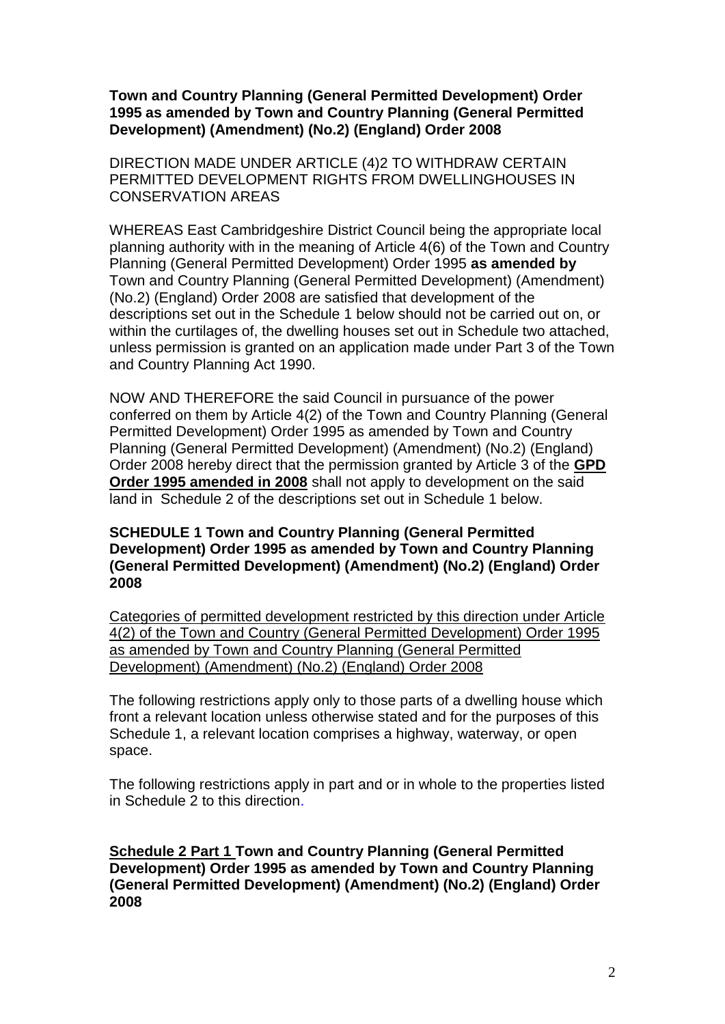**Town and Country Planning (General Permitted Development) Order 1995 as amended by Town and Country Planning (General Permitted Development) (Amendment) (No.2) (England) Order 2008**

DIRECTION MADE UNDER ARTICLE (4)2 TO WITHDRAW CERTAIN PERMITTED DEVELOPMENT RIGHTS FROM DWELLINGHOUSES IN CONSERVATION AREAS

WHEREAS East Cambridgeshire District Council being the appropriate local planning authority with in the meaning of Article 4(6) of the Town and Country Planning (General Permitted Development) Order 1995 **as amended by**  Town and Country Planning (General Permitted Development) (Amendment) (No.2) (England) Order 2008 are satisfied that development of the descriptions set out in the Schedule 1 below should not be carried out on, or within the curtilages of, the dwelling houses set out in Schedule two attached, unless permission is granted on an application made under Part 3 of the Town and Country Planning Act 1990.

NOW AND THEREFORE the said Council in pursuance of the power conferred on them by Article 4(2) of the Town and Country Planning (General Permitted Development) Order 1995 as amended by Town and Country Planning (General Permitted Development) (Amendment) (No.2) (England) Order 2008 hereby direct that the permission granted by Article 3 of the **GPD Order 1995 amended in 2008** shall not apply to development on the said land in Schedule 2 of the descriptions set out in Schedule 1 below.

### **SCHEDULE 1 Town and Country Planning (General Permitted Development) Order 1995 as amended by Town and Country Planning (General Permitted Development) (Amendment) (No.2) (England) Order 2008**

Categories of permitted development restricted by this direction under Article 4(2) of the Town and Country (General Permitted Development) Order 1995 as amended by Town and Country Planning (General Permitted Development) (Amendment) (No.2) (England) Order 2008

The following restrictions apply only to those parts of a dwelling house which front a relevant location unless otherwise stated and for the purposes of this Schedule 1, a relevant location comprises a highway, waterway, or open space.

The following restrictions apply in part and or in whole to the properties listed in Schedule 2 to this direction.

**Schedule 2 Part 1 Town and Country Planning (General Permitted Development) Order 1995 as amended by Town and Country Planning (General Permitted Development) (Amendment) (No.2) (England) Order 2008**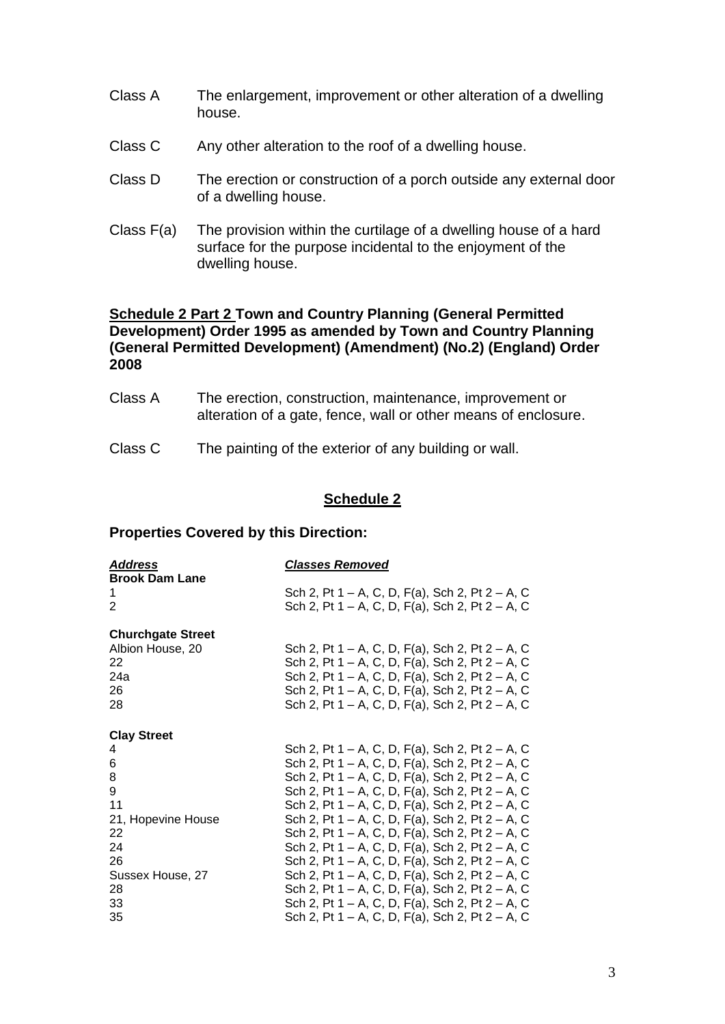- Class A The enlargement, improvement or other alteration of a dwelling house.
- Class C Any other alteration to the roof of a dwelling house.
- Class D The erection or construction of a porch outside any external door of a dwelling house.
- Class F(a) The provision within the curtilage of a dwelling house of a hard surface for the purpose incidental to the enjoyment of the dwelling house.

# **Schedule 2 Part 2 Town and Country Planning (General Permitted Development) Order 1995 as amended by Town and Country Planning (General Permitted Development) (Amendment) (No.2) (England) Order 2008**

- Class A The erection, construction, maintenance, improvement or alteration of a gate, fence, wall or other means of enclosure.
- Class C The painting of the exterior of any building or wall.

# **Schedule 2**

### **Properties Covered by this Direction:**

| <u>Address</u><br><b>Brook Dam Lane</b> | <u>Classes Removed</u>                          |  |  |  |  |  |  |
|-----------------------------------------|-------------------------------------------------|--|--|--|--|--|--|
| 1                                       | Sch 2, Pt 1 – A, C, D, F(a), Sch 2, Pt 2 – A, C |  |  |  |  |  |  |
| 2                                       | Sch 2, Pt 1 – A, C, D, F(a), Sch 2, Pt 2 – A, C |  |  |  |  |  |  |
| <b>Churchgate Street</b>                |                                                 |  |  |  |  |  |  |
| Albion House, 20                        | Sch 2, Pt 1 – A, C, D, F(a), Sch 2, Pt 2 – A, C |  |  |  |  |  |  |
| 22                                      | Sch 2, Pt 1 – A, C, D, F(a), Sch 2, Pt 2 – A, C |  |  |  |  |  |  |
| 24a                                     | Sch 2, Pt 1 – A, C, D, F(a), Sch 2, Pt 2 – A, C |  |  |  |  |  |  |
| 26                                      | Sch 2, Pt 1 – A, C, D, F(a), Sch 2, Pt 2 – A, C |  |  |  |  |  |  |
| 28                                      | Sch 2, Pt 1 – A, C, D, F(a), Sch 2, Pt 2 – A, C |  |  |  |  |  |  |
| <b>Clay Street</b>                      |                                                 |  |  |  |  |  |  |
| 4                                       | Sch 2, Pt 1 – A, C, D, F(a), Sch 2, Pt 2 – A, C |  |  |  |  |  |  |
| 6                                       | Sch 2, Pt 1 – A, C, D, F(a), Sch 2, Pt 2 – A, C |  |  |  |  |  |  |
| 8                                       | Sch 2, Pt 1 – A, C, D, F(a), Sch 2, Pt 2 – A, C |  |  |  |  |  |  |
| 9                                       | Sch 2, Pt 1 – A, C, D, F(a), Sch 2, Pt 2 – A, C |  |  |  |  |  |  |
| 11                                      | Sch 2, Pt 1 – A, C, D, F(a), Sch 2, Pt 2 – A, C |  |  |  |  |  |  |
| 21, Hopevine House                      | Sch 2, Pt 1 – A, C, D, F(a), Sch 2, Pt 2 – A, C |  |  |  |  |  |  |
| 22                                      | Sch 2, Pt 1 – A, C, D, F(a), Sch 2, Pt 2 – A, C |  |  |  |  |  |  |
| 24                                      | Sch 2, Pt 1 – A, C, D, F(a), Sch 2, Pt 2 – A, C |  |  |  |  |  |  |
| 26                                      | Sch 2, Pt 1 – A, C, D, F(a), Sch 2, Pt 2 – A, C |  |  |  |  |  |  |
| Sussex House, 27                        | Sch 2, Pt 1 – A, C, D, F(a), Sch 2, Pt 2 – A, C |  |  |  |  |  |  |
| 28                                      | Sch 2, Pt 1 – A, C, D, F(a), Sch 2, Pt 2 – A, C |  |  |  |  |  |  |
| 33                                      | Sch 2, Pt 1 – A, C, D, F(a), Sch 2, Pt 2 – A, C |  |  |  |  |  |  |
| 35                                      | Sch 2, Pt 1 – A, C, D, F(a), Sch 2, Pt 2 – A, C |  |  |  |  |  |  |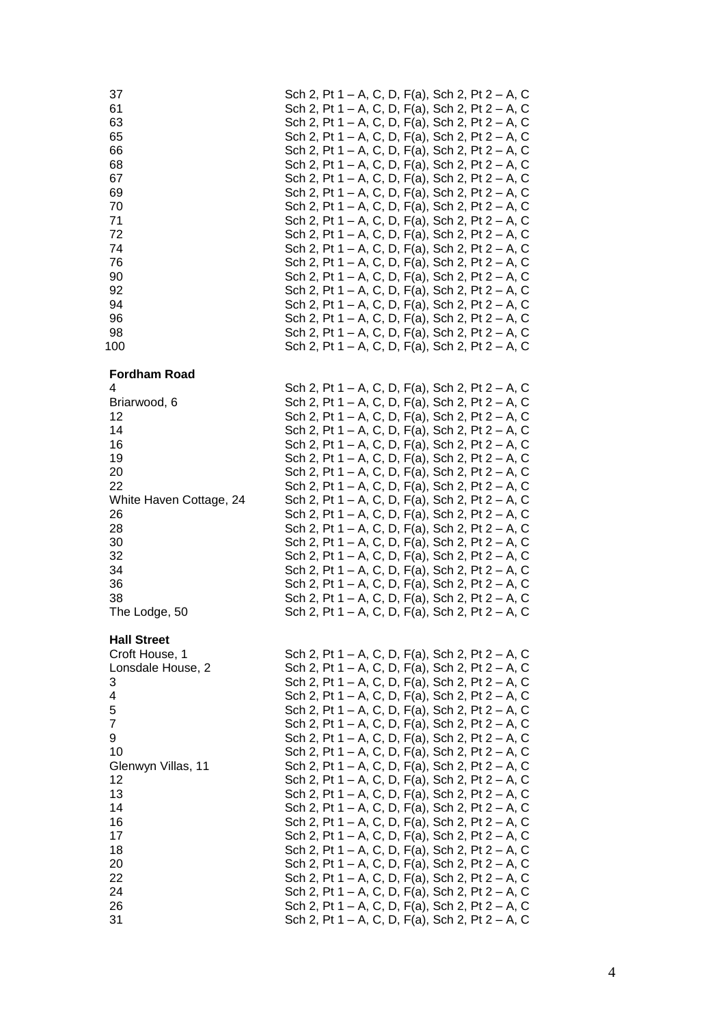| 37                                       | Sch 2, Pt 1 – A, C, D, F(a), Sch 2, Pt 2 – A, C                                                    |
|------------------------------------------|----------------------------------------------------------------------------------------------------|
| 61                                       | Sch 2, Pt 1 – A, C, D, F(a), Sch 2, Pt 2 – A, C                                                    |
| 63                                       | Sch 2, Pt 1 – A, C, D, F(a), Sch 2, Pt 2 – A, C                                                    |
| 65                                       | Sch 2, Pt 1 – A, C, D, F(a), Sch 2, Pt 2 – A, C                                                    |
| 66                                       | Sch 2, Pt 1 – A, C, D, F(a), Sch 2, Pt 2 – A, C                                                    |
| 68                                       | Sch 2, Pt 1 – A, C, D, F(a), Sch 2, Pt 2 – A, C                                                    |
| 67                                       | Sch 2, Pt 1 – A, C, D, F(a), Sch 2, Pt 2 – A, C                                                    |
| 69                                       | Sch 2, Pt 1 – A, C, D, F(a), Sch 2, Pt 2 – A, C                                                    |
| 70                                       | Sch 2, Pt 1 – A, C, D, F(a), Sch 2, Pt 2 – A, C                                                    |
| 71                                       | Sch 2, Pt 1 – A, C, D, F(a), Sch 2, Pt 2 – A, C                                                    |
| 72                                       | Sch 2, Pt 1 – A, C, D, F(a), Sch 2, Pt 2 – A, C                                                    |
| 74                                       | Sch 2, Pt 1 – A, C, D, F(a), Sch 2, Pt 2 – A, C                                                    |
| 76                                       | Sch 2, Pt 1 – A, C, D, F(a), Sch 2, Pt 2 – A, C                                                    |
| 90                                       | Sch 2, Pt 1 – A, C, D, F(a), Sch 2, Pt 2 – A, C                                                    |
| 92                                       | Sch 2, Pt 1 – A, C, D, F(a), Sch 2, Pt 2 – A, C                                                    |
| 94                                       | Sch 2, Pt 1 – A, C, D, F(a), Sch 2, Pt 2 – A, C                                                    |
| 96                                       | Sch 2, Pt 1 – A, C, D, F(a), Sch 2, Pt 2 – A, C                                                    |
| 98                                       | Sch 2, Pt 1 – A, C, D, F(a), Sch 2, Pt 2 – A, C                                                    |
| 100                                      | Sch 2, Pt 1 – A, C, D, F(a), Sch 2, Pt 2 – A, C                                                    |
| <b>Fordham Road</b><br>4<br>Briarwood, 6 | Sch 2, Pt 1 – A, C, D, F(a), Sch 2, Pt 2 – A, C<br>Sch 2, Pt 1 – A, C, D, F(a), Sch 2, Pt 2 – A, C |
| 12                                       | Sch 2, Pt 1 – A, C, D, F(a), Sch 2, Pt 2 – A, C                                                    |
| 14                                       | Sch 2, Pt 1 – A, C, D, F(a), Sch 2, Pt 2 – A, C                                                    |
| 16                                       | Sch 2, Pt 1 - A, C, D, F(a), Sch 2, Pt 2 - A, C                                                    |
| 19                                       | Sch 2, Pt 1 – A, C, D, F(a), Sch 2, Pt 2 – A, C                                                    |
| 20                                       | Sch 2, Pt 1 – A, C, D, F(a), Sch 2, Pt 2 – A, C                                                    |
| 22                                       | Sch 2, Pt 1 – A, C, D, F(a), Sch 2, Pt 2 – A, C                                                    |
| White Haven Cottage, 24                  | Sch 2, Pt 1 – A, C, D, F(a), Sch 2, Pt 2 – A, C                                                    |
| 26                                       | Sch 2, Pt 1 – A, C, D, F(a), Sch 2, Pt 2 – A, C                                                    |
| 28                                       | Sch 2, Pt 1 – A, C, D, F(a), Sch 2, Pt 2 – A, C                                                    |
| 30                                       | Sch 2, Pt 1 – A, C, D, F(a), Sch 2, Pt 2 – A, C                                                    |
| 32                                       | Sch 2, Pt 1 – A, C, D, F(a), Sch 2, Pt 2 – A, C                                                    |
| 34                                       | Sch 2, Pt 1 – A, C, D, F(a), Sch 2, Pt 2 – A, C                                                    |
| 36                                       | Sch 2, Pt 1 – A, C, D, F(a), Sch 2, Pt 2 – A, C                                                    |
| 38                                       | Sch 2, Pt 1 – A, C, D, F(a), Sch 2, Pt 2 – A, C                                                    |
| The Lodge, 50                            | Sch 2, Pt 1 – A, C, D, F(a), Sch 2, Pt 2 – A, C                                                    |
| <b>Hall Street</b><br>Croft House, 1     | Sch 2, Pt 1 – A, C, D, F(a), Sch 2, Pt 2 – A, C                                                    |
| Lonsdale House, 2                        | Sch 2, Pt 1 – A, C, D, F(a), Sch 2, Pt 2 – A, C                                                    |
| 3                                        | Sch 2, Pt 1 – A, C, D, F(a), Sch 2, Pt 2 – A, C                                                    |
| 4                                        | Sch 2, Pt 1 – A, C, D, F(a), Sch 2, Pt 2 – A, C                                                    |
| 5                                        | Sch 2, Pt 1 – A, C, D, F(a), Sch 2, Pt 2 – A, C                                                    |
| $\overline{7}$                           | Sch 2, Pt 1 – A, C, D, F(a), Sch 2, Pt 2 – A, C                                                    |
| 9                                        | Sch 2, Pt 1 – A, C, D, F(a), Sch 2, Pt 2 – A, C                                                    |
| 10                                       | Sch 2, Pt 1 – A, C, D, F(a), Sch 2, Pt 2 – A, C                                                    |
| Glenwyn Villas, 11                       | Sch 2, Pt 1 – A, C, D, F(a), Sch 2, Pt 2 – A, C                                                    |
| 12                                       | Sch 2, Pt 1 – A, C, D, F(a), Sch 2, Pt 2 – A, C                                                    |
| 13                                       | Sch 2, Pt 1 – A, C, D, F(a), Sch 2, Pt 2 – A, C                                                    |
| 14                                       | Sch 2, Pt 1 – A, C, D, F(a), Sch 2, Pt 2 – A, C                                                    |
| 16                                       | Sch 2, Pt 1 – A, C, D, F(a), Sch 2, Pt 2 – A, C                                                    |
| 17                                       | Sch 2, Pt 1 – A, C, D, F(a), Sch 2, Pt 2 – A, C                                                    |
| 18                                       | Sch 2, Pt 1 – A, C, D, F(a), Sch 2, Pt 2 – A, C                                                    |
| 20                                       | Sch 2, Pt 1 – A, C, D, F(a), Sch 2, Pt 2 – A, C                                                    |
| 22                                       | Sch 2, Pt 1 – A, C, D, F(a), Sch 2, Pt 2 – A, C                                                    |
| 24                                       | Sch 2, Pt 1 – A, C, D, F(a), Sch 2, Pt 2 – A, C                                                    |
| 26                                       | Sch 2, Pt 1 – A, C, D, F(a), Sch 2, Pt 2 – A, C                                                    |
| 31                                       | Sch 2, Pt 1 – A, C, D, F(a), Sch 2, Pt 2 – A, C                                                    |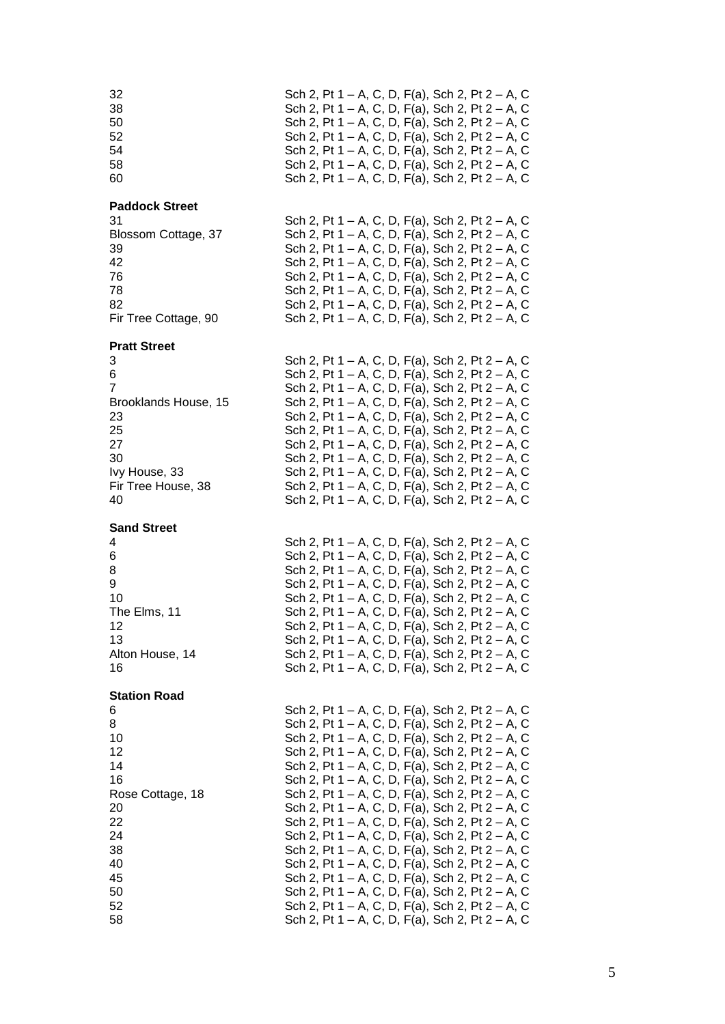| 32<br>38<br>50<br>52<br>54<br>58<br>60                                                                                                       | Sch 2, Pt 1 – A, C, D, F(a), Sch 2, Pt 2 – A, C<br>Sch 2, Pt 1 – A, C, D, F(a), Sch 2, Pt 2 – A, C<br>Sch 2, Pt 1 – A, C, D, F(a), Sch 2, Pt 2 – A, C<br>Sch 2, Pt 1 – A, C, D, F(a), Sch 2, Pt 2 – A, C<br>Sch 2, Pt 1 – A, C, D, F(a), Sch 2, Pt 2 – A, C<br>Sch 2, Pt 1 – A, C, D, F(a), Sch 2, Pt 2 – A, C<br>Sch 2, Pt 1 – A, C, D, F(a), Sch 2, Pt 2 – A, C                                                                                                                                                                                                                                                                                                                                                                                                                                                                            |  |  |  |  |  |  |  |
|----------------------------------------------------------------------------------------------------------------------------------------------|----------------------------------------------------------------------------------------------------------------------------------------------------------------------------------------------------------------------------------------------------------------------------------------------------------------------------------------------------------------------------------------------------------------------------------------------------------------------------------------------------------------------------------------------------------------------------------------------------------------------------------------------------------------------------------------------------------------------------------------------------------------------------------------------------------------------------------------------|--|--|--|--|--|--|--|
| <b>Paddock Street</b><br>31<br>Blossom Cottage, 37<br>39<br>42<br>76<br>78<br>82<br>Fir Tree Cottage, 90                                     | Sch 2, Pt 1 – A, C, D, F(a), Sch 2, Pt 2 – A, C<br>Sch 2, Pt 1 – A, C, D, F(a), Sch 2, Pt 2 – A, C<br>Sch 2, Pt 1 – A, C, D, F(a), Sch 2, Pt 2 – A, C<br>Sch 2, Pt 1 – A, C, D, F(a), Sch 2, Pt 2 – A, C<br>Sch 2, Pt 1 – A, C, D, F(a), Sch 2, Pt 2 – A, C<br>Sch 2, Pt 1 – A, C, D, F(a), Sch 2, Pt 2 – A, C<br>Sch 2, Pt 1 – A, C, D, F(a), Sch 2, Pt 2 – A, C<br>Sch 2, Pt 1 – A, C, D, F(a), Sch 2, Pt 2 – A, C                                                                                                                                                                                                                                                                                                                                                                                                                         |  |  |  |  |  |  |  |
| <b>Pratt Street</b><br>3<br>6<br>$\overline{7}$<br>Brooklands House, 15<br>23<br>25<br>27<br>30<br>Ivy House, 33<br>Fir Tree House, 38<br>40 | Sch 2, Pt 1 – A, C, D, F(a), Sch 2, Pt 2 – A, C<br>Sch 2, Pt 1 – A, C, D, F(a), Sch 2, Pt 2 – A, C<br>Sch 2, Pt 1 – A, C, D, F(a), Sch 2, Pt 2 – A, C<br>Sch 2, Pt 1 – A, C, D, F(a), Sch 2, Pt 2 – A, C<br>Sch 2, Pt 1 – A, C, D, F(a), Sch 2, Pt 2 – A, C<br>Sch 2, Pt 1 – A, C, D, F(a), Sch 2, Pt 2 – A, C<br>Sch 2, Pt 1 – A, C, D, F(a), Sch 2, Pt 2 – A, C<br>Sch 2, Pt 1 – A, C, D, F(a), Sch 2, Pt 2 – A, C<br>Sch 2, Pt 1 – A, C, D, F(a), Sch 2, Pt 2 – A, C<br>Sch 2, Pt 1 – A, C, D, F(a), Sch 2, Pt 2 – A, C<br>Sch 2, Pt 1 – A, C, D, F(a), Sch 2, Pt 2 – A, C                                                                                                                                                                                                                                                                |  |  |  |  |  |  |  |
| <b>Sand Street</b><br>4<br>6<br>8<br>9<br>10<br>The Elms, 11<br>12<br>13<br>Alton House, 14<br>16                                            | Sch 2, Pt 1 – A, C, D, F(a), Sch 2, Pt 2 – A, C<br>Sch 2, Pt 1 – A, C, D, F(a), Sch 2, Pt 2 – A, C<br>Sch 2, Pt 1 – A, C, D, F(a), Sch 2, Pt 2 – A, C<br>Sch 2, Pt 1 – A, C, D, F(a), Sch 2, Pt 2 – A, C<br>Sch 2, Pt 1 – A, C, D, F(a), Sch 2, Pt 2 – A, C<br>Sch 2, Pt 1 – A, C, D, F(a), Sch 2, Pt 2 – A, C<br>Sch 2, Pt 1 – A, C, D, F(a), Sch 2, Pt 2 – A, C<br>Sch 2, Pt 1 – A, C, D, F(a), Sch 2, Pt 2 – A, C<br>Sch 2, Pt 1 – A, C, D, F(a), Sch 2, Pt 2 – A, C<br>Sch 2, Pt 1 – A, C, D, F(a), Sch 2, Pt 2 – A, C                                                                                                                                                                                                                                                                                                                   |  |  |  |  |  |  |  |
| <b>Station Road</b><br>6<br>8<br>10<br>12<br>14<br>16<br>Rose Cottage, 18<br>20<br>22<br>24<br>38<br>40<br>45<br>50<br>52<br>58              | Sch 2, Pt 1 – A, C, D, F(a), Sch 2, Pt 2 – A, C<br>Sch 2, Pt 1 – A, C, D, F(a), Sch 2, Pt 2 – A, C<br>Sch 2, Pt 1 – A, C, D, F(a), Sch 2, Pt 2 – A, C<br>Sch 2, Pt 1 – A, C, D, F(a), Sch 2, Pt 2 – A, C<br>Sch 2, Pt 1 – A, C, D, F(a), Sch 2, Pt 2 – A, C<br>Sch 2, Pt 1 – A, C, D, F(a), Sch 2, Pt 2 – A, C<br>Sch 2, Pt 1 – A, C, D, F(a), Sch 2, Pt 2 – A, C<br>Sch 2, Pt 1 – A, C, D, F(a), Sch 2, Pt 2 – A, C<br>Sch 2, Pt 1 – A, C, D, F(a), Sch 2, Pt 2 – A, C<br>Sch 2, Pt 1 – A, C, D, F(a), Sch 2, Pt 2 – A, C<br>Sch 2, Pt 1 – A, C, D, F(a), Sch 2, Pt 2 – A, C<br>Sch 2, Pt 1 – A, C, D, F(a), Sch 2, Pt 2 – A, C<br>Sch 2, Pt 1 – A, C, D, F(a), Sch 2, Pt 2 – A, C<br>Sch 2, Pt 1 – A, C, D, F(a), Sch 2, Pt 2 – A, C<br>Sch 2, Pt 1 – A, C, D, F(a), Sch 2, Pt 2 – A, C<br>Sch 2, Pt 1 – A, C, D, F(a), Sch 2, Pt 2 – A, C |  |  |  |  |  |  |  |